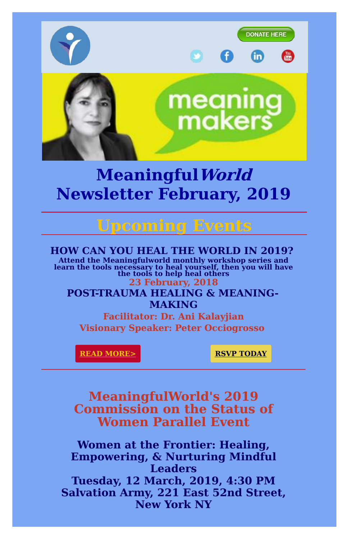

# **MeaningfulWorld Newsletter February, 2019**

# **Upcoming Events**

#### **HOW CAN YOU HEAL THE WORLD IN 2019?**

**Attend the Meaningfulworld monthly workshop series and learn the tools necessary to heal yourself, then you will have the tools to help heal others**

### **23 February, 2018 POST-TRAUMA HEALING & MEANING-MAKING**

**Facilitator: Dr. Ani Kalayjian Visionary Speaker: Peter Occiogrosso**

**READ [MORE>](https://d2zhgehghqjuwb.cloudfront.net/accounts/12098/original/Meaningfulworld_23_March__2019_Training.pdf?1549909952) RSVP [TODAY](mailto:edcoordinator@meaningfulworld.com)** 

**MeaningfulWorld's 2019 Commission on the Status of Women Parallel Event**

**Women at the Frontier: Healing, Empowering, & Nurturing Mindful Leaders Tuesday, 12 March, 2019, 4:30 PM Salvation Army, 221 East 52nd Street, New York NY**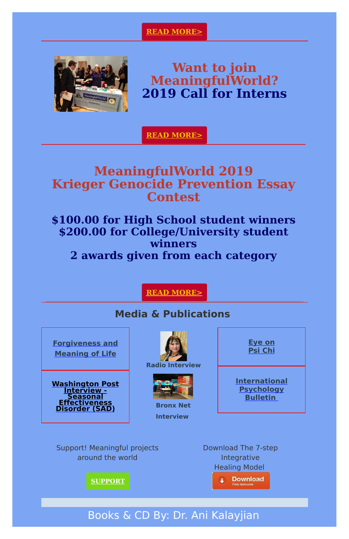#### **READ [MORE>](https://d2zhgehghqjuwb.cloudfront.net/accounts/12098/original/ATOP_Meaningfulworld_UN_CSW_March_2019.pdf?1549910687)**



**Want to join MeaningfulWorld? 2019 Call for Interns**

**READ [MORE>](https://d2zhgehghqjuwb.cloudfront.net/accounts/12098/original/ATOP_Meaningfulworld_Intern_Call_2019-2020_.pdf?1544902196)**

## **MeaningfulWorld 2019 Krieger Genocide Prevention Essay Contest**

**Washington Post Interview -**

## **\$100.00 for High School student winners \$200.00 for College/University student winners 2 awards given from each category**

#### **READ [MORE>](http://meaningfulworld.com/wp-content/uploads/2018/11/2019-Meaningfulworld-Genocide-Prevention-Krieger-Essay-Contest-24-April-Deadline-for-High-School-College-Students.pdf)**

### **Media & Publications**

**[Forgiveness](https://d2zhgehghqjuwb.cloudfront.net/accounts/12098/original/Traumatic_Stress_Symptoms.pdf?1486480892) and Meaning of Life**









**Bronx Net**





**[International](https://d2zhgehghqjuwb.cloudfront.net/accounts/12098/original/International_Psychology_Bullentin_Spring_2017_page_5.pdf?1503452568) Psychology**



Support! Meaningful projects around the world

Download The 7-step Integrative Healing Model



**[SUPPORT](http://meaningfulworld.com/get-involved/donation)**

## Books & CD By: Dr. Ani Kalayjian